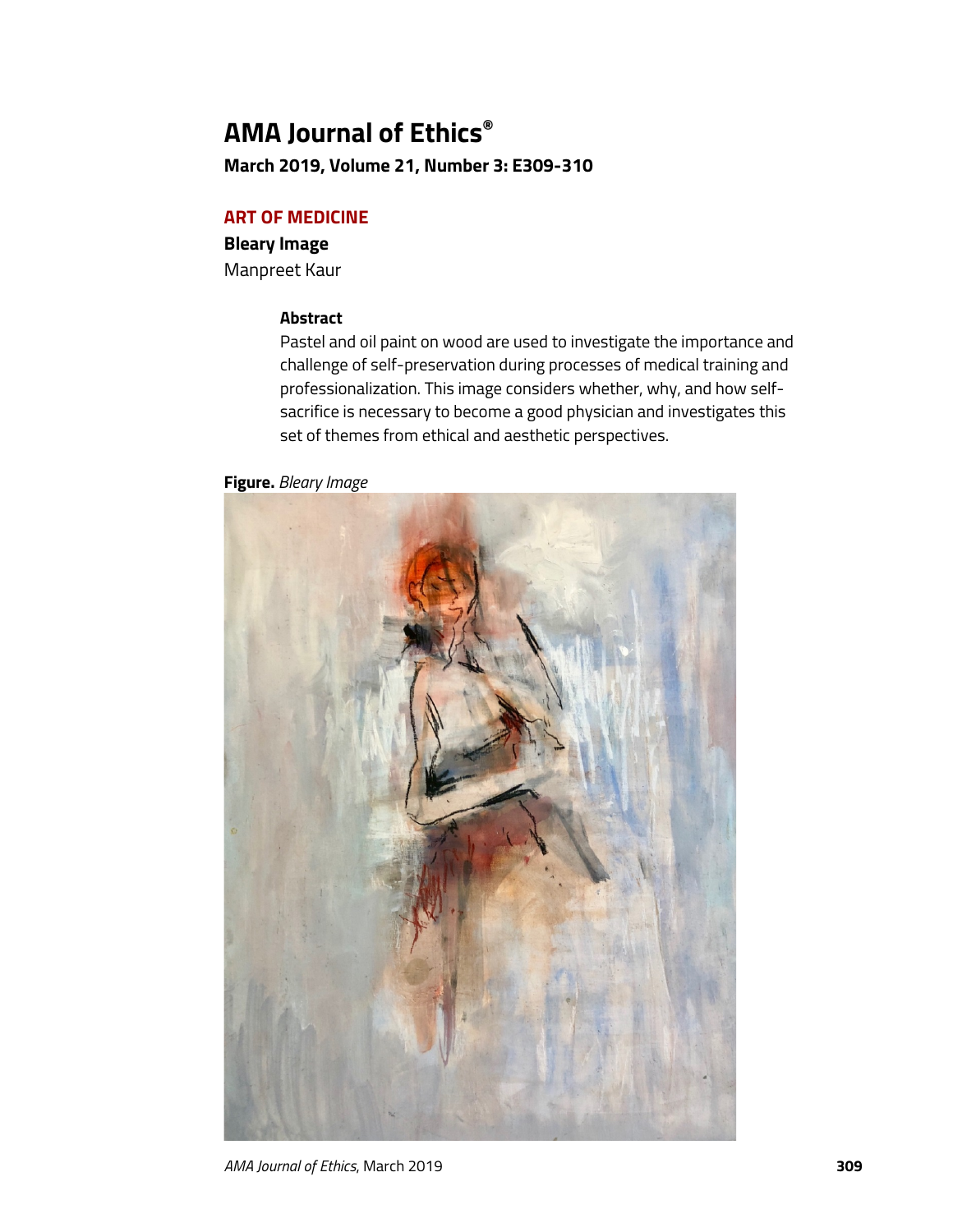# **AMA Journal of Ethics®**

**March 2019, Volume 21, Number 3: E309-310**

# **ART OF MEDICINE**

## **Bleary Image**

Manpreet Kaur

# **Abstract**

Pastel and oil paint on wood are used to investigate the importance and challenge of self-preservation during processes of medical training and professionalization. This image considers whether, why, and how selfsacrifice is necessary to become a good physician and investigates this set of themes from ethical and aesthetic perspectives.

**Figure.** *Bleary Image*



*AMA Journal of Ethics*, March 2019 **309**